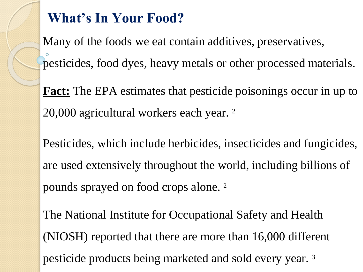## **What's In Your Food?**

Many of the foods we eat contain additives, preservatives, pesticides, food dyes, heavy metals or other processed materials.

**Fact:** The EPA estimates that pesticide poisonings occur in up to 20,000 agricultural workers each year. <sup>2</sup>

Pesticides, which include herbicides, insecticides and fungicides, are used extensively throughout the world, including billions of pounds sprayed on food crops alone. <sup>2</sup>

The National Institute for Occupational Safety and Health (NIOSH) reported that there are more than 16,000 different pesticide products being marketed and sold every year. 3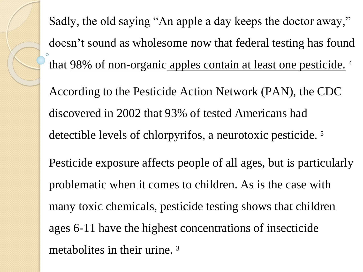Sadly, the old saying "An apple a day keeps the doctor away," doesn't sound as wholesome now that federal testing has found that 98% of non-organic apples contain at least one pesticide. <sup>4</sup> According to the Pesticide Action Network (PAN), the CDC discovered in 2002 that 93% of tested Americans had detectible levels of chlorpyrifos, a neurotoxic pesticide. <sup>5</sup> Pesticide exposure affects people of all ages, but is particularly problematic when it comes to children. As is the case with many toxic chemicals, pesticide testing shows that children ages 6-11 have the highest concentrations of insecticide metabolites in their urine. 3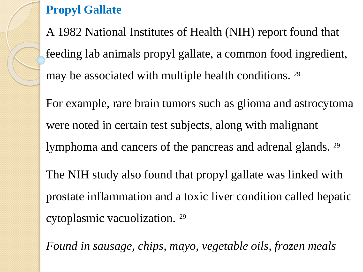**Propyl Gallate**

A 1982 National Institutes of Health (NIH) report found that feeding lab animals propyl gallate, a common food ingredient, may be associated with multiple health conditions. 29

For example, rare brain tumors such as glioma and astrocytoma were noted in certain test subjects, along with malignant lymphoma and cancers of the pancreas and adrenal glands. <sup>29</sup> The NIH study also found that propyl gallate was linked with prostate inflammation and a toxic liver condition called hepatic cytoplasmic vacuolization. <sup>29</sup>

*Found in sausage, chips, mayo, vegetable oils, frozen meals*